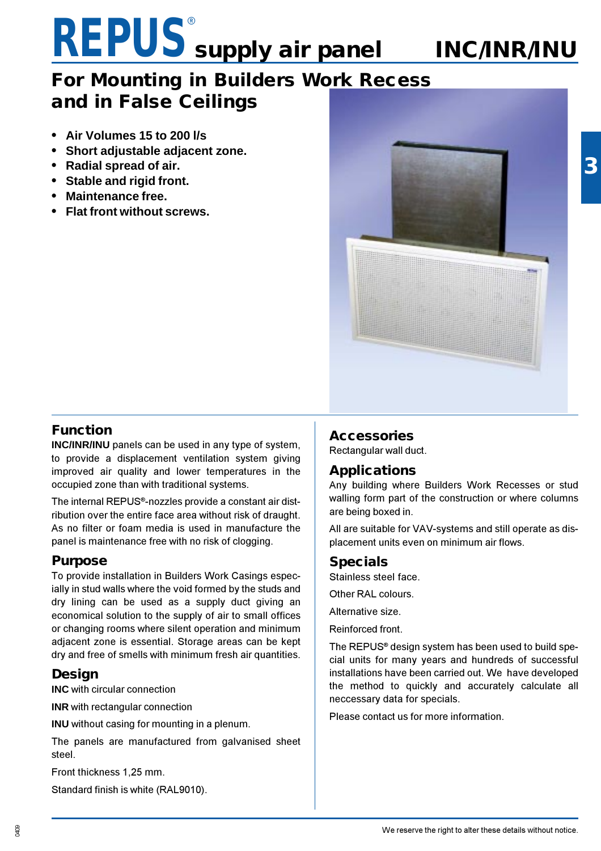### **REPUS**® **supply air panel**

### **For Mounting in Builders Work Recess and in False Ceilings**

- **• Air Volumes 15 to 200 l/s**
- **• Short adjustable adjacent zone.**
- **• Radial spread of air.**
- **• Stable and rigid front.**
- **• Maintenance free.**
- **• Flat front without screws.**



 **INC/INR/INU**

#### **Function**

**INC/INR/INU** panels can be used in any type of system, to provide a displacement ventilation system giving improved air quality and lower temperatures in the occupied zone than with traditional systems.

The internal REPUS®-nozzles provide a constant air distribution over the entire face area without risk of draught. As no filter or foam media is used in manufacture the panel is maintenance free with no risk of clogging.

#### **Purpose**

To provide installation in Builders Work Casings especially in stud walls where the void formed by the studs and dry lining can be used as a supply duct giving an economical solution to the supply of air to small offices or changing rooms where silent operation and minimum adjacent zone is essential. Storage areas can be kept dry and free of smells with minimum fresh air quantities.

#### **Design**

**INC** with circular connection

**INR** with rectangular connection

**INU** without casing for mounting in a plenum.

The panels are manufactured from galvanised sheet steel.

Front thickness 1,25 mm.

Standard finish is white (RAL9010).

#### **Accessories**

Rectangular wall duct.

#### **Applications**

Any building where Builders Work Recesses or stud walling form part of the construction or where columns are being boxed in.

All are suitable for VAV-systems and still operate as displacement units even on minimum air flows.

#### **Specials**

Stainless steel face.

Other RAL colours.

Alternative size.

Reinforced front.

The REPUS® design system has been used to build special units for many years and hundreds of successful installations have been carried out. We have developed the method to quickly and accurately calculate all neccessary data for specials.

Please contact us for more information.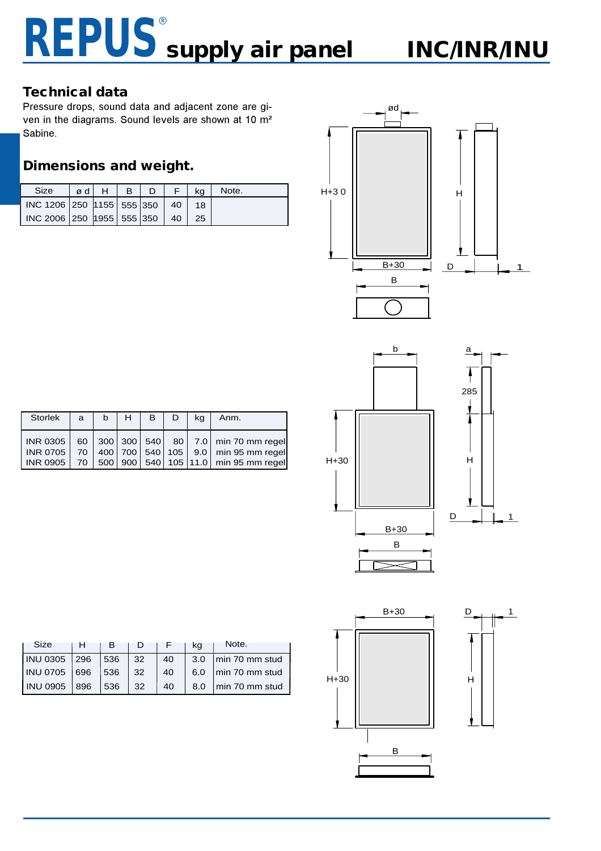#### **Technical data**

Pressure drops, sound data and adjacent zone are given in the diagrams. Sound levels are shown at 10 m² Sabine.

#### **Dimensions and weight.**

| Size                                | ød H   B | /D / | ka | Note. |
|-------------------------------------|----------|------|----|-------|
| INC 1206 250 1155 555 350 40        |          |      | 18 |       |
| INC 2006 250 1955 555 350   40   25 |          |      |    |       |





| Storlek              | $\mathbf{a}$ | $b$ $H$ | $B \mid$ | ka | Anm.                                                                                                                                                                |
|----------------------|--------------|---------|----------|----|---------------------------------------------------------------------------------------------------------------------------------------------------------------------|
| $INR$ 0905 $\mid$ 70 |              |         |          |    | INR 0305   60   300   300   540   80   7.0   min 70 mm regel<br>INR 0705 70 400 700 540 105 9.0 min 95 mm regel<br>  500   900   540   105   11.0   min 95 mm regel |

| Size            |     |     |    |    | ka  | Note.          |
|-----------------|-----|-----|----|----|-----|----------------|
| <b>INU 0305</b> | 296 | 536 | 32 | 40 | 3.0 | min 70 mm stud |
| <b>INU 0705</b> | 696 | 536 | 32 | 40 | 6.0 | min 70 mm stud |
| <b>INU 0905</b> | 896 | 536 | 32 | 40 | 8.0 | min 70 mm stud |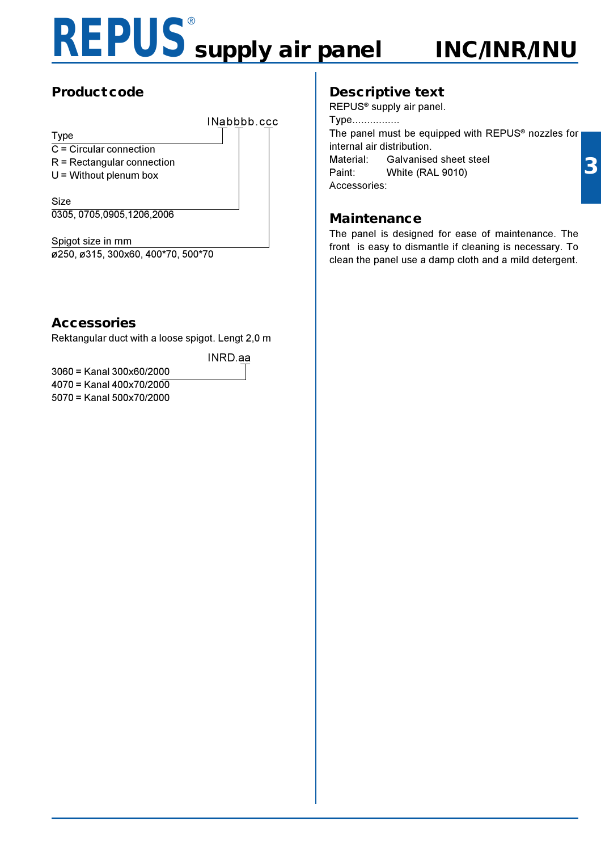## **REPUS**® **supply air panel**

 **INC/INR/INU**

### **Product code**

Type

INabbbb.ccc

C = Circular connection

- R = Rectangular connection
- $U =$  Without plenum box

Size 0305, 0705,0905,1206,2006

Spigot size in mm ø250, ø315, 300x60, 400\*70, 500\*70

#### **Accessories**

Rektangular duct with a loose spigot. Lengt 2,0 m

INRD.aa

3060 = Kanal 300x60/2000  $4070 =$ Kanal  $400 \times 70/200$ 5070 = Kanal 500x70/2000

### **Descriptive text**

REPUS® supply air panel. Type................ The panel must be equipped with REPUS® nozzles for internal air distribution. Material: Galvanised sheet steel Paint: White (RAL 9010) Accessories:

#### **Maintenance**

The panel is designed for ease of maintenance. The front is easy to dismantle if cleaning is necessary. To clean the panel use a damp cloth and a mild detergent.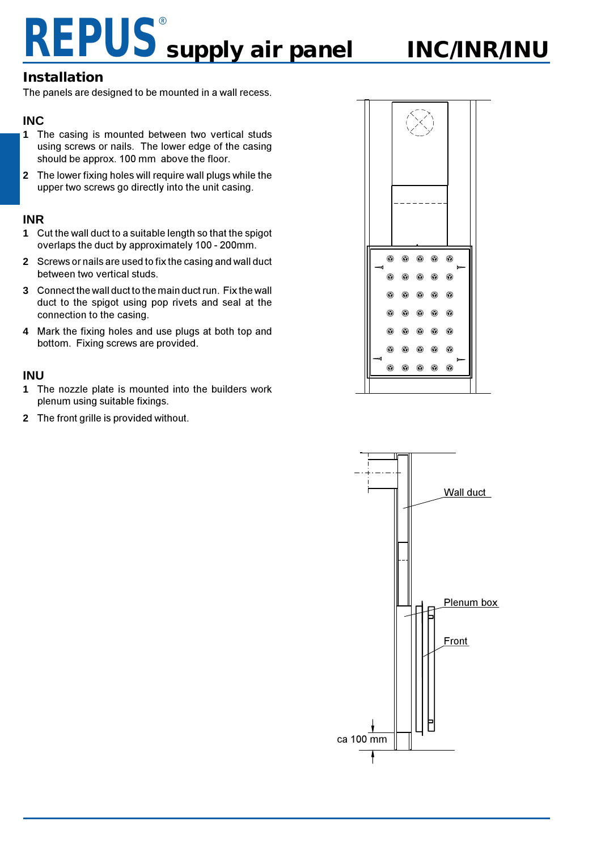### **Installation**

The panels are designed to be mounted in a wall recess.

#### **INC**

- **1** The casing is mounted between two vertical studs using screws or nails. The lower edge of the casing should be approx. 100 mm above the floor.
- **2** The lower fixing holes will require wall plugs while the upper two screws go directly into the unit casing.

#### **INR**

- **1** Cut the wall duct to a suitable length so that the spigot overlaps the duct by approximately 100 - 200mm.
- **2** Screws or nails are used to fix the casing and wall duct between two vertical studs.
- **3** Connect the wall duct to the main duct run. Fix the wall duct to the spigot using pop rivets and seal at the connection to the casing.
- **4** Mark the fixing holes and use plugs at both top and bottom. Fixing screws are provided.

#### **INU**

- **1** The nozzle plate is mounted into the builders work plenum using suitable fixings.
- **2** The front grille is provided without.



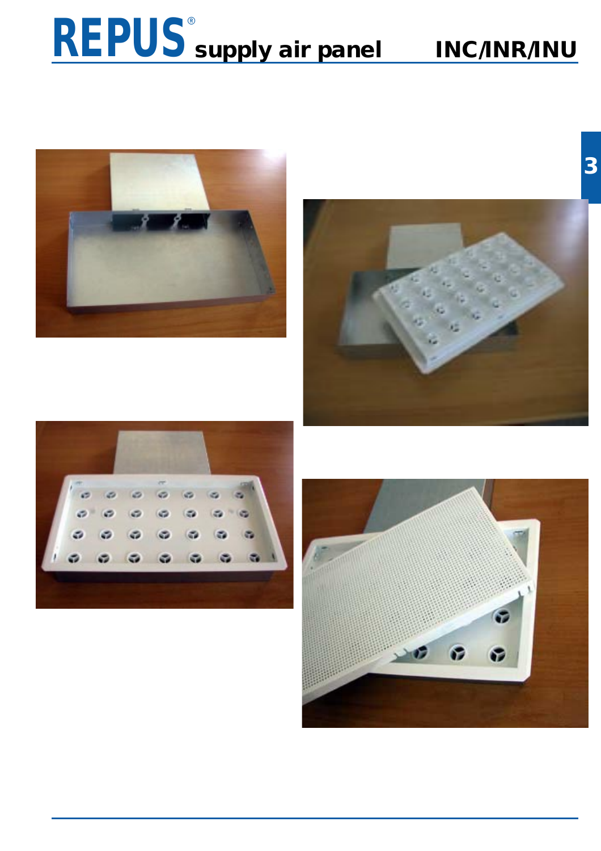

 **INC/INR/INU**







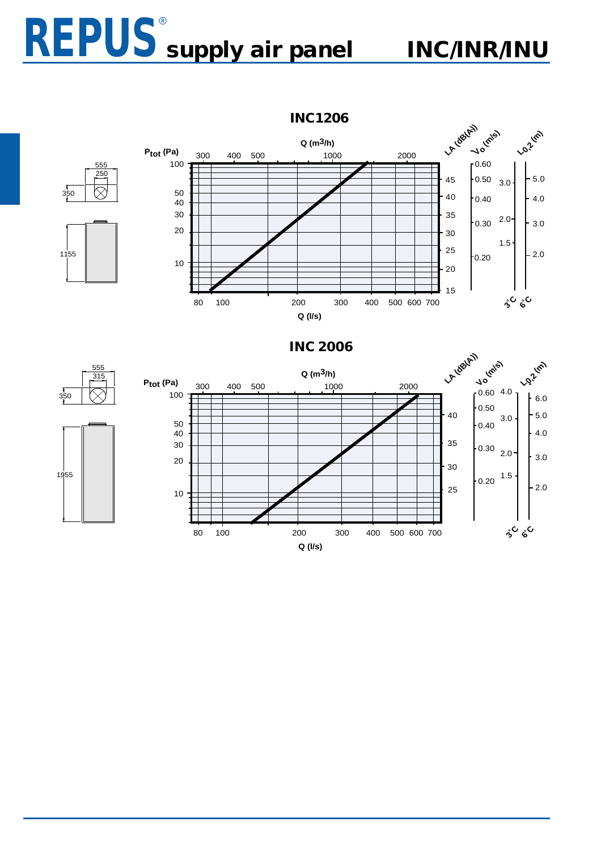555

250

 $\overline{\otimes}$ 

 $\sqrt{350}$ 

1155

 $350$ 



**INC1206**



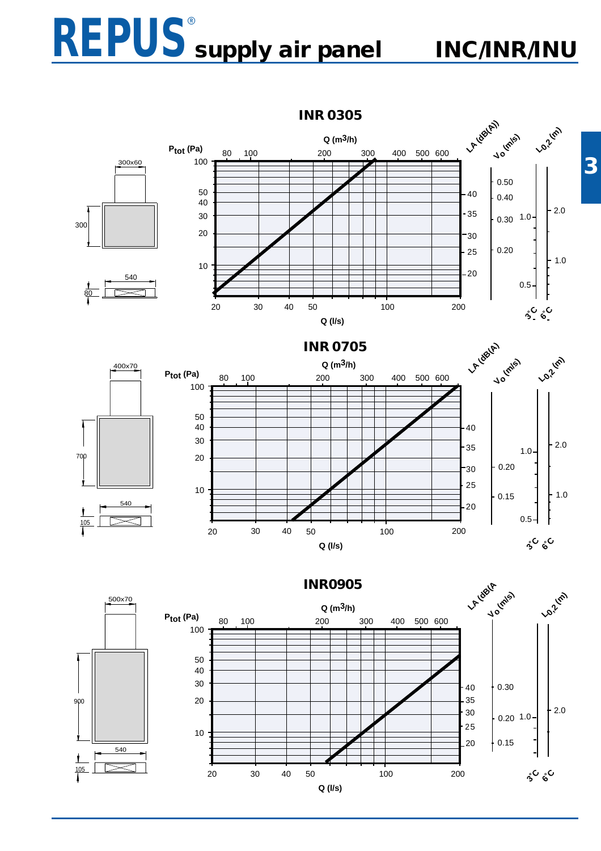### **REPUS**® **supply air panel**

 **INC/INR/INU**



**INR0905**



**3**